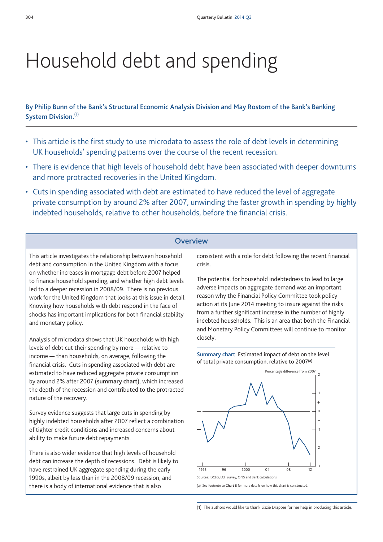# Household debt and spending

**By Philip Bunn of the Bank's Structural Economic Analysis Division and May Rostom of the Bank's Banking System Division.** (1)

- This article is the first study to use microdata to assess the role of debt levels in determining UK households' spending patterns over the course of the recent recession.
- There is evidence that high levels of household debt have been associated with deeper downturns and more protracted recoveries in the United Kingdom.
- Cuts in spending associated with debt are estimated to have reduced the level of aggregate private consumption by around 2% after 2007, unwinding the faster growth in spending by highly indebted households, relative to other households, before the financial crisis.

## **Overview**

This article investigates the relationship between household debt and consumption in the United Kingdom with a focus on whether increases in mortgage debt before 2007 helped to finance household spending, and whether high debt levels led to a deeper recession in 2008/09. There is no previous work for the United Kingdom that looks at this issue in detail. Knowing how households with debt respond in the face of shocks has important implications for both financial stability and monetary policy.

Analysis of microdata shows that UK households with high levels of debt cut their spending by more — relative to income — than households, on average, following the financial crisis. Cuts in spending associated with debt are estimated to have reduced aggregate private consumption by around 2% after 2007 (**summary chart**), which increased the depth of the recession and contributed to the protracted nature of the recovery.

Survey evidence suggests that large cuts in spending by highly indebted households after 2007 reflect a combination of tighter credit conditions and increased concerns about ability to make future debt repayments.

There is also wider evidence that high levels of household debt can increase the depth of recessions. Debt is likely to have restrained UK aggregate spending during the early 1990s, albeit by less than in the 2008/09 recession, and there is a body of international evidence that is also

consistent with a role for debt following the recent financial crisis.

The potential for household indebtedness to lead to large adverse impacts on aggregate demand was an important reason why the Financial Policy Committee took policy action at its June 2014 meeting to insure against the risks from a further significant increase in the number of highly indebted households. This is an area that both the Financial and Monetary Policy Committees will continue to monitor closely.





(1) The authors would like to thank Lizzie Drapper for her help in producing this article.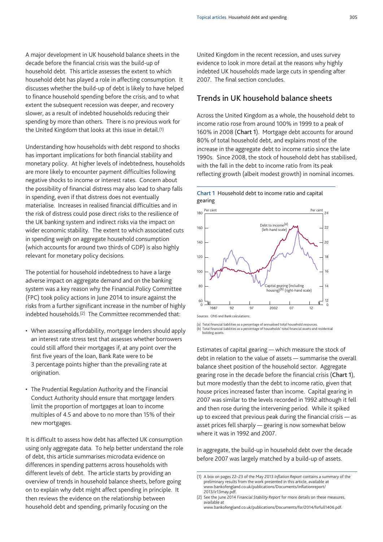A major development in UK household balance sheets in the decade before the financial crisis was the build-up of household debt. This article assesses the extent to which household debt has played a role in affecting consumption. It discusses whether the build-up of debt is likely to have helped to finance household spending before the crisis, and to what extent the subsequent recession was deeper, and recovery slower, as a result of indebted households reducing their spending by more than others. There is no previous work for the United Kingdom that looks at this issue in detail.(1)

Understanding how households with debt respond to shocks has important implications for both financial stability and monetary policy. At higher levels of indebtedness, households are more likely to encounter payment difficulties following negative shocks to income or interest rates. Concern about the possibility of financial distress may also lead to sharp falls in spending, even if that distress does not eventually materialise. Increases in realised financial difficulties and in the risk of distress could pose direct risks to the resilience of the UK banking system and indirect risks via the impact on wider economic stability. The extent to which associated cuts in spending weigh on aggregate household consumption (which accounts for around two thirds of GDP) is also highly relevant for monetary policy decisions.

The potential for household indebtedness to have a large adverse impact on aggregate demand and on the banking system was a key reason why the Financial Policy Committee (FPC) took policy actions in June 2014 to insure against the risks from a further significant increase in the number of highly indebted households.(2) The Committee recommended that:

- When assessing affordability, mortgage lenders should apply an interest rate stress test that assesses whether borrowers could still afford their mortgages if, at any point over the first five years of the loan, Bank Rate were to be 3 percentage points higher than the prevailing rate at origination.
- The Prudential Regulation Authority and the Financial Conduct Authority should ensure that mortgage lenders limit the proportion of mortgages at loan to income multiples of 4.5 and above to no more than 15% of their new mortgages.

It is difficult to assess how debt has affected UK consumption using only aggregate data. To help better understand the role of debt, this article summarises microdata evidence on differences in spending patterns across households with different levels of debt. The article starts by providing an overview of trends in household balance sheets, before going on to explain why debt might affect spending in principle. It then reviews the evidence on the relationship between household debt and spending, primarily focusing on the

United Kingdom in the recent recession, and uses survey evidence to look in more detail at the reasons why highly indebted UK households made large cuts in spending after 2007. The final section concludes.

# **Trends in UK household balance sheets**

Across the United Kingdom as a whole, the household debt to income ratio rose from around 100% in 1999 to a peak of 160% in 2008 (**Chart 1**). Mortgage debt accounts for around 80% of total household debt, and explains most of the increase in the aggregate debt to income ratio since the late 1990s. Since 2008, the stock of household debt has stabilised, with the fall in the debt to income ratio from its peak reflecting growth (albeit modest growth) in nominal incomes.





Sources: ONS and Bank calculations.

(a) Total financial liabilities as a percentage of annualised total household resources. (b) Total financial liabilities as a percentage of households' total financial assets and residential

building assets.

Estimates of capital gearing — which measure the stock of debt in relation to the value of assets — summarise the overall balance sheet position of the household sector. Aggregate gearing rose in the decade before the financial crisis (**Chart 1**), but more modestly than the debt to income ratio, given that house prices increased faster than income. Capital gearing in 2007 was similar to the levels recorded in 1992 although it fell and then rose during the intervening period. While it spiked up to exceed that previous peak during the financial crisis — as asset prices fell sharply — gearing is now somewhat below where it was in 1992 and 2007.

In aggregate, the build-up in household debt over the decade before 2007 was largely matched by a build-up of assets.

[www.bankofengland.co.uk/publications/Documents/fsr/2014/fsrfull1406.pdf.](http://www.bankofengland.co.uk/publications/Documents/fsr/2014/fsrfull1406.pdf)

<sup>(1)</sup> A box on pages 22–23 of the May 2013 *Inflation Report* contains a summary of the preliminary results from the work presented in this article, available at [www.bankofengland.co.uk/publications/Documents/inflationreport/](http://www.bankofengland.co.uk/publications/Documents/inflationreport/2013/ir13may.pdf) [2013/ir13may.pdf.](http://www.bankofengland.co.uk/publications/Documents/inflationreport/2013/ir13may.pdf)

<sup>(2)</sup> See the June 2014 *Financial Stability Report* for more details on these measures, available at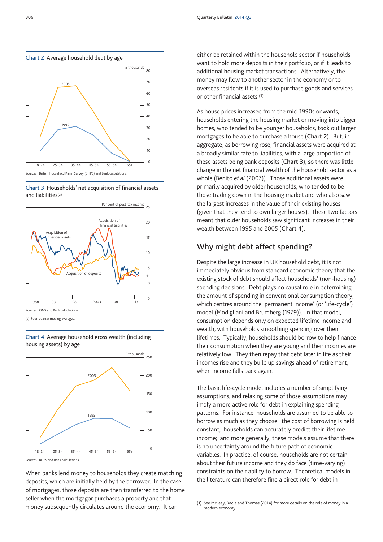







(a) Four-quarter moving averages.

**Chart 4** Average household gross wealth (including housing assets) by age



Sources: BHPS and Bank calculations.

When banks lend money to households they create matching deposits, which are initially held by the borrower. In the case of mortgages, those deposits are then transferred to the home seller when the mortgagor purchases a property and that money subsequently circulates around the economy. It can

either be retained within the household sector if households want to hold more deposits in their portfolio, or if it leads to additional housing market transactions. Alternatively, the money may flow to another sector in the economy or to overseas residents if it is used to purchase goods and services or other financial assets.(1)

As house prices increased from the mid-1990s onwards, households entering the housing market or moving into bigger homes, who tended to be younger households, took out larger mortgages to be able to purchase a house (**Chart 2**). But, in aggregate, as borrowing rose, financial assets were acquired at a broadly similar rate to liabilities, with a large proportion of these assets being bank deposits (**Chart 3**), so there was little change in the net financial wealth of the household sector as a whole (Benito *et al* (2007)). Those additional assets were primarily acquired by older households, who tended to be those trading down in the housing market and who also saw the largest increases in the value of their existing houses (given that they tend to own larger houses). These two factors meant that older households saw significant increases in their wealth between 1995 and 2005 (**Chart 4**).

# **Why might debt affect spending?**

Despite the large increase in UK household debt, it is not immediately obvious from standard economic theory that the existing stock of debt should affect households' (non-housing) spending decisions. Debt plays no causal role in determining the amount of spending in conventional consumption theory, which centres around the 'permanent income' (or 'life-cycle') model (Modigliani and Brumberg (1979)). In that model, consumption depends only on expected lifetime income and wealth, with households smoothing spending over their lifetimes. Typically, households should borrow to help finance their consumption when they are young and their incomes are relatively low. They then repay that debt later in life as their incomes rise and they build up savings ahead of retirement, when income falls back again.

The basic life-cycle model includes a number of simplifying assumptions, and relaxing some of those assumptions may imply a more active role for debt in explaining spending patterns. For instance, households are assumed to be able to borrow as much as they choose; the cost of borrowing is held constant; households can accurately predict their lifetime income; and more generally, these models assume that there is no uncertainty around the future path of economic variables. In practice, of course, households are not certain about their future income and they do face (time-varying) constraints on their ability to borrow. Theoretical models in the literature can therefore find a direct role for debt in

<sup>(1)</sup> See McLeay, Radia and Thomas (2014) for more details on the role of money in a modern economy.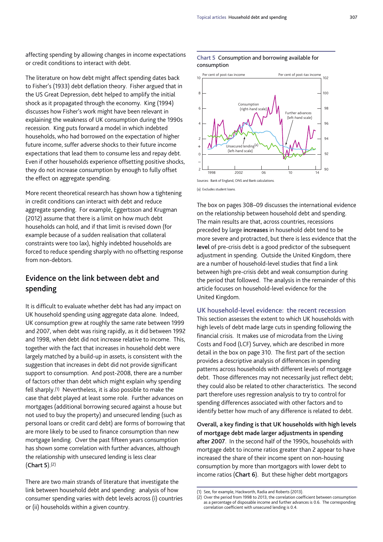affecting spending by allowing changes in income expectations or credit conditions to interact with debt.

The literature on how debt might affect spending dates back to Fisher's (1933) debt deflation theory. Fisher argued that in the US Great Depression, debt helped to amplify the initial shock as it propagated through the economy. King (1994) discusses how Fisher's work might have been relevant in explaining the weakness of UK consumption during the 1990s recession. King puts forward a model in which indebted households, who had borrowed on the expectation of higher future income, suffer adverse shocks to their future income expectations that lead them to consume less and repay debt. Even if other households experience offsetting positive shocks, they do not increase consumption by enough to fully offset the effect on aggregate spending.

More recent theoretical research has shown how a tightening in credit conditions can interact with debt and reduce aggregate spending. For example, Eggertsson and Krugman (2012) assume that there is a limit on how much debt households can hold, and if that limit is revised down (for example because of a sudden realisation that collateral constraints were too lax), highly indebted households are forced to reduce spending sharply with no offsetting response from non-debtors.

# **Evidence on the link between debt and spending**

It is difficult to evaluate whether debt has had any impact on UK household spending using aggregate data alone. Indeed, UK consumption grew at roughly the same rate between 1999 and 2007, when debt was rising rapidly, as it did between 1992 and 1998, when debt did not increase relative to income. This, together with the fact that increases in household debt were largely matched by a build-up in assets, is consistent with the suggestion that increases in debt did not provide significant support to consumption. And post-2008, there are a number of factors other than debt which might explain why spending fell sharply.(1) Nevertheless, it is also possible to make the case that debt played at least some role. Further advances on mortgages (additional borrowing secured against a house but not used to buy the property) and unsecured lending (such as personal loans or credit card debt) are forms of borrowing that are more likely to be used to finance consumption than new mortgage lending. Over the past fifteen years consumption has shown some correlation with further advances, although the relationship with unsecured lending is less clear (**Chart 5**).(2)

There are two main strands of literature that investigate the link between household debt and spending: analysis of how consumer spending varies with debt levels across (i) countries or (ii) households within a given country.

#### **Chart 5** Consumption and borrowing available for consumption



(a) Excludes student loans.

The box on pages 308–09 discusses the international evidence on the relationship between household debt and spending. The main results are that, across countries, recessions preceded by large **increases** in household debt tend to be more severe and protracted, but there is less evidence that the **level** of pre-crisis debt is a good predictor of the subsequent adjustment in spending. Outside the United Kingdom, there are a number of household-level studies that find a link between high pre-crisis debt and weak consumption during the period that followed. The analysis in the remainder of this article focuses on household-level evidence for the United Kingdom.

## **UK household-level evidence: the recent recession**

This section assesses the extent to which UK households with high levels of debt made large cuts in spending following the financial crisis. It makes use of microdata from the Living Costs and Food (LCF) Survey, which are described in more detail in the box on page 310. The first part of the section provides a descriptive analysis of differences in spending patterns across households with different levels of mortgage debt. Those differences may not necessarily just reflect debt; they could also be related to other characteristics. The second part therefore uses regression analysis to try to control for spending differences associated with other factors and to identify better how much of any difference is related to debt.

**Overall, a key finding is that UK households with high levels of mortgage debt made larger adjustments in spending after 2007**. In the second half of the 1990s, households with mortgage debt to income ratios greater than 2 appear to have increased the share of their income spent on non-housing consumption by more than mortgagors with lower debt to income ratios (**Chart 6**). But these higher debt mortgagors

See, for example, Hackworth, Radia and Roberts (2013).

<sup>(2)</sup> Over the period from 1998 to 2013, the correlation coefficient between consumption as a percentage of disposable income and further advances is 0.6. The corresponding correlation coefficient with unsecured lending is 0.4.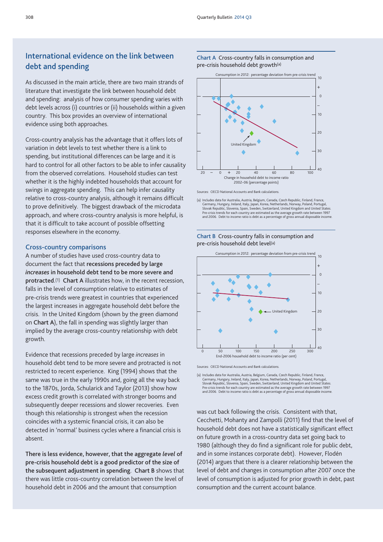# **International evidence on the link between debt and spending**

As discussed in the main article, there are two main strands of literature that investigate the link between household debt and spending: analysis of how consumer spending varies with debt levels across (i) countries or (ii) households within a given country. This box provides an overview of international evidence using both approaches.

Cross-country analysis has the advantage that it offers lots of variation in debt levels to test whether there is a link to spending, but institutional differences can be large and it is hard to control for all other factors to be able to infer causality from the observed correlations. Household studies can test whether it is the highly indebted households that account for swings in aggregate spending. This can help infer causality relative to cross-country analysis, although it remains difficult to prove definitively. The biggest drawback of the microdata approach, and where cross-country analysis is more helpful, is that it is difficult to take account of possible offsetting responses elsewhere in the economy.

#### **Cross-country comparisons**

A number of studies have used cross-country data to document the fact that **recessions preceded by large** *increases* **in household debt tend to be more severe and protracted**.(1) **Chart A** illustrates how, in the recent recession, falls in the level of consumption relative to estimates of pre-crisis trends were greatest in countries that experienced the largest increases in aggregate household debt before the crisis. In the United Kingdom (shown by the green diamond on **Chart A**), the fall in spending was slightly larger than implied by the average cross-country relationship with debt growth.

Evidence that recessions preceded by large *increases* in household debt tend to be more severe and protracted is not restricted to recent experience. King (1994) shows that the same was true in the early 1990s and, going all the way back to the 1870s, Jorda, Schularick and Taylor (2013) show how excess credit growth is correlated with stronger booms and subsequently deeper recessions and slower recoveries. Even though this relationship is strongest when the recession coincides with a systemic financial crisis, it can also be detected in 'normal' business cycles where a financial crisis is absent.

**There is less evidence, however, that the aggregate** *level* **of pre-crisis household debt is a good predictor of the size of the subsequent adjustment in spending**. **Chart B** shows that there was little cross-country correlation between the level of household debt in 2006 and the amount that consumption

#### **Chart A** Cross-country falls in consumption and pre-crisis household debt growth(a)



Sources: OECD National Accounts and Bank calculations.

(a) Includes data for Australia, Austria, Belgium, Canada, Czech Republic, Finland, France, Germany, Hungary, Ireland, Italy, Japan, Korea, Netherlands, Norway, Poland, Portugal, Slovak Republic, Slovenia, Spain, Sweden, Switzerland, United Kingdom and United States.<br>Pre-crisis trends for each country are estimated as the average growth rate between 1997<br>and 2006. Debt to income ratio is debt as a

#### **Chart B** Cross-country falls in consumption and pre-crisis household debt level(a)



Sources: OECD National Accounts and Bank calculations

(a) Includes data for Australia, Austria, Belgium, Canada, Czech Republic, Finland, France,<br>Germany, Hungary, Ireland, Italy, Japan, Korea, Netherlands, Norway, Poland, Portugal,<br>Slovak Republic, Slovenia, Spain, Sweden, S Pre-crisis trends for each country are estimated as the average growth rate between 1997 and 2006. Debt to income ratio is debt as a percentage of gross annual disposable income.

was cut back following the crisis. Consistent with that, Cecchetti, Mohanty and Zampolli (2011) find that the level of household debt does not have a statistically significant effect on future growth in a cross-country data set going back to 1980 (although they do find a significant role for public debt, and in some instances corporate debt). However, Flodén (2014) argues that there is a clearer relationship between the level of debt and changes in consumption after 2007 once the level of consumption is adjusted for prior growth in debt, past consumption and the current account balance.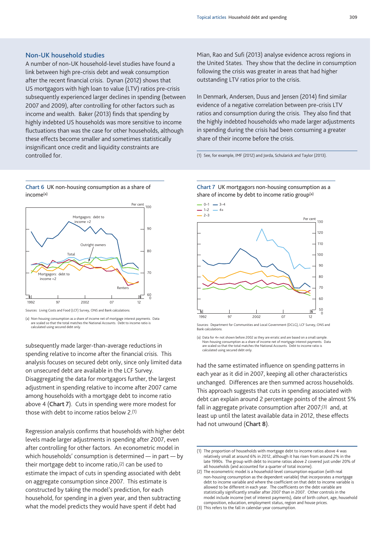## **Non-UK household studies**

A number of non-UK household-level studies have found a link between high pre-crisis debt and weak consumption after the recent financial crisis. Dynan (2012) shows that US mortgagors with high loan to value (LTV) ratios pre-crisis subsequently experienced larger declines in spending (between 2007 and 2009), after controlling for other factors such as income and wealth. Baker (2013) finds that spending by highly indebted US households was more sensitive to income fluctuations than was the case for other households, although these effects become smaller and sometimes statistically insignificant once credit and liquidity constraints are controlled for.

**Chart 6** UK non-housing consumption as a share of income(a)



Sources: Living Costs and Food (LCF) Survey, ONS and Bank calculation

(a) Non-housing consumption as a share of income net of mortgage interest payments. Data are scaled so that the total matches the National Accounts. Debt to income ratio is calculated using secured debt only.

subsequently made larger-than-average reductions in spending relative to income after the financial crisis. This analysis focuses on secured debt only, since only limited data on unsecured debt are available in the LCF Survey. Disaggregating the data for mortgagors further, the largest adjustment in spending relative to income after 2007 came among households with a mortgage debt to income ratio above 4 (**Chart 7**). Cuts in spending were more modest for those with debt to income ratios below 2.(1)

Regression analysis confirms that households with higher debt levels made larger adjustments in spending after 2007, even after controlling for other factors. An econometric model in which households' consumption is determined — in part — by their mortgage debt to income ratio,(2) can be used to estimate the impact of cuts in spending associated with debt on aggregate consumption since 2007. This estimate is constructed by taking the model's prediction, for each household, for spending in a given year, and then subtracting what the model predicts they would have spent if debt had

Mian, Rao and Sufi (2013) analyse evidence across regions in the United States. They show that the decline in consumption following the crisis was greater in areas that had higher outstanding LTV ratios prior to the crisis.

In Denmark, Andersen, Duus and Jensen (2014) find similar evidence of a negative correlation between pre-crisis LTV ratios and consumption during the crisis. They also find that the highly indebted households who made larger adjustments in spending during the crisis had been consuming a greater share of their income before the crisis.

(1) See, for example, IMF (2012) and Jorda, Schularick and Taylor (2013).





Sources: Department for Communities and Local Government (DCLG), LCF Survey, ONS and Bank calculations.

(a) Data for 4+ not shown before 2002 as they are erratic and are based on a small sample. Non-housing consumption as a share of income net of mortgage interest payments. Data are scaled so that the total matches the National Accounts. Debt to income ratio is calculated using secured debt only.

had the same estimated influence on spending patterns in each year as it did in 2007, keeping all other characteristics unchanged. Differences are then summed across households. This approach suggests that cuts in spending associated with debt can explain around 2 percentage points of the almost 5% fall in aggregate private consumption after 2007;(3) and, at least up until the latest available data in 2012, these effects had not unwound (**Chart 8**).

(3) This refers to the fall in calendar-year consumption.

<sup>(1)</sup> The proportion of households with mortgage debt to income ratios above 4 was relatively small at around 6% in 2012, although it has risen from around 2% in the late 1990s. The group with debt to income ratios above 2 covered just under 20% of all households (and accounted for a quarter of total income).

<sup>(2)</sup> The econometric model is a household-level consumption equation (with real non-housing consumption as the dependent variable) that incorporates a mortgage debt to income variable and where the coefficient on that debt to income variable is allowed to be different in each year. The coefficients on the debt variable are statistically significantly smaller after 2007 than in 2007. Other controls in the model include income (net of interest payments), date of birth cohort, age, household composition, education, employment status, region and house prices.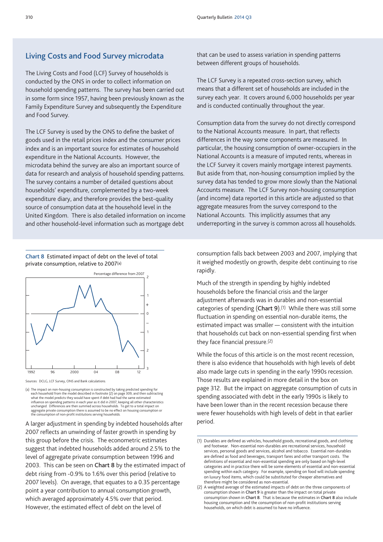## **Living Costs and Food Survey microdata**

The Living Costs and Food (LCF) Survey of households is conducted by the ONS in order to collect information on household spending patterns. The survey has been carried out in some form since 1957, having been previously known as the Family Expenditure Survey and subsequently the Expenditure and Food Survey.

The LCF Survey is used by the ONS to define the basket of goods used in the retail prices index and the consumer prices index and is an important source for estimates of household expenditure in the National Accounts. However, the microdata behind the survey are also an important source of data for research and analysis of household spending patterns. The survey contains a number of detailed questions about households' expenditure, complemented by a two-week expenditure diary, and therefore provides the best-quality source of consumption data at the household level in the United Kingdom. There is also detailed information on income and other household-level information such as mortgage debt

**Chart 8** Estimated impact of debt on the level of total private consumption, relative to 2007(a)



Sources: DCLG, LCF Survey, ONS and Bank calculations.

(a) The impact on non-housing consumption is constructed by taking predicted spending for<br>each household from the model described in footnote (2) on page 309, and then subtracting<br>what the model predicts they would have sp influence on spending patterns in each year as it did in 2007, keeping all other characteristics<br>unchanged. Differences are then summed across households. To get to a total impact on<br>aggregate private consumption there is the consumption of non-profit institutions serving households.

A larger adjustment in spending by indebted households after 2007 reflects an unwinding of faster growth in spending by this group before the crisis. The econometric estimates suggest that indebted households added around 2.5% to the level of aggregate private consumption between 1996 and 2003. This can be seen on **Chart 8** by the estimated impact of debt rising from -0.9% to 1.6% over this period (relative to 2007 levels). On average, that equates to a 0.35 percentage point a year contribution to annual consumption growth, which averaged approximately 4.5% over that period. However, the estimated effect of debt on the level of

that can be used to assess variation in spending patterns between different groups of households.

The LCF Survey is a repeated cross-section survey, which means that a different set of households are included in the survey each year. It covers around 6,000 households per year and is conducted continually throughout the year.

Consumption data from the survey do not directly correspond to the National Accounts measure. In part, that reflects differences in the way some components are measured. In particular, the housing consumption of owner-occupiers in the National Accounts is a measure of imputed rents, whereas in the LCF Survey it covers mainly mortgage interest payments. But aside from that, non-housing consumption implied by the survey data has tended to grow more slowly than the National Accounts measure. The LCF Survey non-housing consumption (and income) data reported in this article are adjusted so that aggregate measures from the survey correspond to the National Accounts. This implicitly assumes that any underreporting in the survey is common across all households.

consumption falls back between 2003 and 2007, implying that it weighed modestly on growth, despite debt continuing to rise rapidly.

Much of the strength in spending by highly indebted households before the financial crisis and the larger adjustment afterwards was in durables and non-essential categories of spending (**Chart 9**).(1) While there was still some fluctuation in spending on essential non-durable items, the estimated impact was smaller — consistent with the intuition that households cut back on non-essential spending first when they face financial pressure.(2)

While the focus of this article is on the most recent recession, there is also evidence that households with high levels of debt also made large cuts in spending in the early 1990s recession. Those results are explained in more detail in the box on page 312. But the impact on aggregate consumption of cuts in spending associated with debt in the early 1990s is likely to have been lower than in the recent recession because there were fewer households with high levels of debt in that earlier period.

<sup>(1)</sup> Durables are defined as vehicles, household goods, recreational goods, and clothing and footwear. Non-essential non-durables are recreational services, household services, personal goods and services, alcohol and tobacco. Essential non-durables are defined as food and beverages, transport fares and other transport costs. The definitions of essential and non-essential spending are only based on high-level categories and in practice there will be some elements of essential and non-essential spending within each category. For example, spending on food will include spending on luxury food items, which could be substituted for cheaper alternatives and therefore might be considered as non-essential.

<sup>(2)</sup> A weighted average of the estimated impacts of debt on the three components of consumption shown in **Chart 9** is greater than the impact on total private consumption shown in **Chart 8**. That is because the estimates in **Chart 8** also include housing consumption and the consumption of non-profit institutions serving households, on which debt is assumed to have no influence.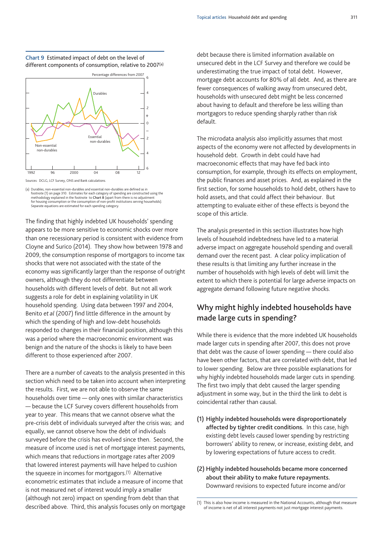**Chart 9** Estimated impact of debt on the level of different components of consumption, relative to 2007(a)



(a) Durables, non-essential non-durables and essential non-durables are defined as in footnote (1) on page 310. Estimates for each category of spending are constructed using the methodology explained in the footnote to **Chart 8** (apart from there is no adjustment for housing consumption or the consumption of non-profit institutions serving households). Separate equations are estimated for each spending category.

The finding that highly indebted UK households' spending appears to be more sensitive to economic shocks over more than one recessionary period is consistent with evidence from Cloyne and Surico (2014). They show how between 1978 and 2009, the consumption response of mortgagors to income tax shocks that were not associated with the state of the economy was significantly larger than the response of outright owners, although they do not differentiate between households with different levels of debt. But not all work suggests a role for debt in explaining volatility in UK household spending. Using data between 1997 and 2004, Benito *et al* (2007) find little difference in the amount by which the spending of high and low-debt households responded to changes in their financial position, although this was a period where the macroeconomic environment was benign and the nature of the shocks is likely to have been different to those experienced after 2007.

There are a number of caveats to the analysis presented in this section which need to be taken into account when interpreting the results. First, we are not able to observe the same households over time — only ones with similar characteristics — because the LCF Survey covers different households from year to year. This means that we cannot observe what the pre-crisis debt of individuals surveyed after the crisis was; and equally, we cannot observe how the debt of individuals surveyed before the crisis has evolved since then. Second, the measure of income used is net of mortgage interest payments, which means that reductions in mortgage rates after 2009 that lowered interest payments will have helped to cushion the squeeze in incomes for mortgagors.(1) Alternative econometric estimates that include a measure of income that is not measured net of interest would imply a smaller (although not zero) impact on spending from debt than that described above. Third, this analysis focuses only on mortgage

debt because there is limited information available on unsecured debt in the LCF Survey and therefore we could be underestimating the true impact of total debt. However, mortgage debt accounts for 80% of all debt. And, as there are fewer consequences of walking away from unsecured debt, households with unsecured debt might be less concerned about having to default and therefore be less willing than mortgagors to reduce spending sharply rather than risk default.

The microdata analysis also implicitly assumes that most aspects of the economy were not affected by developments in household debt. Growth in debt could have had macroeconomic effects that may have fed back into consumption, for example, through its effects on employment, the public finances and asset prices. And, as explained in the first section, for some households to hold debt, others have to hold assets, and that could affect their behaviour. But attempting to evaluate either of these effects is beyond the scope of this article.

The analysis presented in this section illustrates how high levels of household indebtedness have led to a material adverse impact on aggregate household spending and overall demand over the recent past. A clear policy implication of these results is that limiting any further increase in the number of households with high levels of debt will limit the extent to which there is potential for large adverse impacts on aggregate demand following future negative shocks.

# **Why might highly indebted households have made large cuts in spending?**

While there is evidence that the more indebted UK households made larger cuts in spending after 2007, this does not prove that debt was the cause of lower spending — there could also have been other factors, that are correlated with debt, that led to lower spending. Below are three possible explanations for why highly indebted households made larger cuts in spending. The first two imply that debt caused the larger spending adjustment in some way, but in the third the link to debt is coincidental rather than causal.

- **(1) Highly indebted households were disproportionately affected by tighter credit conditions.** In this case, high existing debt levels caused lower spending by restricting borrowers' ability to renew, or increase, existing debt, and by lowering expectations of future access to credit.
- **(2) Highly indebted households became more concerned about their ability to make future repayments.** Downward revisions to expected future income and/or

<sup>(1)</sup> This is also how income is measured in the National Accounts, although that measure of income is net of all interest payments not just mortgage interest payments.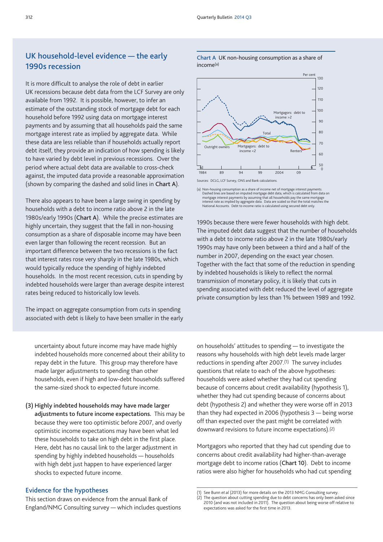# **UK household-level evidence — the early 1990s recession**

It is more difficult to analyse the role of debt in earlier UK recessions because debt data from the LCF Survey are only available from 1992. It is possible, however, to infer an estimate of the outstanding stock of mortgage debt for each household before 1992 using data on mortgage interest payments and by assuming that all households paid the same mortgage interest rate as implied by aggregate data. While these data are less reliable than if households actually report debt itself, they provide an indication of how spending is likely to have varied by debt level in previous recessions. Over the period where actual debt data are available to cross-check against, the imputed data provide a reasonable approximation (shown by comparing the dashed and solid lines in **Chart A**).

There also appears to have been a large swing in spending by households with a debt to income ratio above 2 in the late 1980s/early 1990s (**Chart A**). While the precise estimates are highly uncertain, they suggest that the fall in non-housing consumption as a share of disposable income may have been even larger than following the recent recession. But an important difference between the two recessions is the fact that interest rates rose very sharply in the late 1980s, which would typically reduce the spending of highly indebted households. In the most recent recession, cuts in spending by indebted households were larger than average despite interest rates being reduced to historically low levels.

The impact on aggregate consumption from cuts in spending associated with debt is likely to have been smaller in the early

uncertainty about future income may have made highly indebted households more concerned about their ability to repay debt in the future. This group may therefore have made larger adjustments to spending than other households, even if high and low-debt households suffered the same-sized shock to expected future income.

## **(3) Highly indebted households may have made larger**

**adjustments to future income expectations.** This may be because they were too optimistic before 2007, and overly optimistic income expectations may have been what led these households to take on high debt in the first place. Here, debt has no causal link to the larger adjustment in spending by highly indebted households — households with high debt just happen to have experienced larger shocks to expected future income.

### **Evidence for the hypotheses**

This section draws on evidence from the annual Bank of England/NMG Consulting survey — which includes questions on households' attitudes to spending — to investigate the reasons why households with high debt levels made larger reductions in spending after 2007.(1) The survey includes questions that relate to each of the above hypotheses: households were asked whether they had cut spending because of concerns about credit availability (hypothesis 1), whether they had cut spending because of concerns about debt (hypothesis 2) and whether they were worse off in 2013 than they had expected in 2006 (hypothesis 3 — being worse off than expected over the past might be correlated with downward revisions to future income expectations).(2)

Mortgagors who reported that they had cut spending due to concerns about credit availability had higher-than-average mortgage debt to income ratios (**Chart 10**). Debt to income ratios were also higher for households who had cut spending

**Chart A** UK non-housing consumption as a share of income(a)



Sources: DCLG, LCF Survey, ONS and Bank calculation

(a) Non-housing consumption as a share of income net of mortgage interest payments. Dashed lines are based on imputed mortgage debt data, which is calculated from data on mortgage interest payments by assuming that all households pay the same mortgage interest rate as implied by aggregate data. Data are scaled so that the total matches the National Accounts. Debt to income ratio is calculated using secured debt only.

1990s because there were fewer households with high debt. The imputed debt data suggest that the number of households with a debt to income ratio above 2 in the late 1980s/early 1990s may have only been between a third and a half of the number in 2007, depending on the exact year chosen. Together with the fact that some of the reduction in spending by indebted households is likely to reflect the normal transmission of monetary policy, it is likely that cuts in spending associated with debt reduced the level of aggregate private consumption by less than 1% between 1989 and 1992.

See Bunn *et al* (2013) for more details on the 2013 NMG Consulting survey.

<sup>(2)</sup> The question about cutting spending due to debt concerns has only been asked since 2010 (and was not included in 2011). The question about being worse off relative to expectations was asked for the first time in 2013.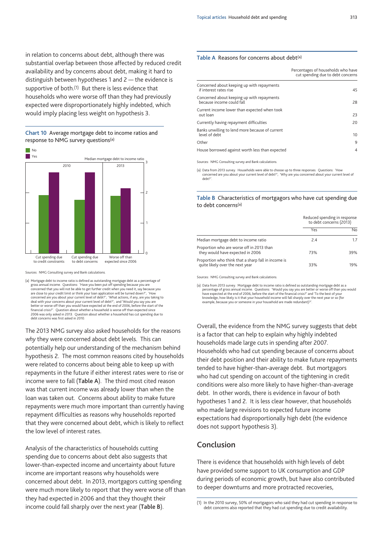in relation to concerns about debt, although there was substantial overlap between those affected by reduced credit availability and by concerns about debt, making it hard to distinguish between hypotheses 1 and 2 — the evidence is supportive of both.<sup>(1)</sup> But there is less evidence that households who were worse off than they had previously expected were disproportionately highly indebted, which would imply placing less weight on hypothesis 3.

#### **Chart 10** Average mortgage debt to income ratios and response to NMG survey questions(a)



Sources: NMG Consulting survey and Bank calculations.

(a) Mortgage debt to income ratio is defined as outstanding mortgage debt as a percentage of gross annual income. Questions: 'Have you been put off spending because you are<br>concerned that you will not be able to get further credit when you need it, say because you<br>are close to your credit limit or think your loa concerned are you about your current level of debt?'; 'What actions, if any, are you taking to<br>deal with your concerns about your current level of debt?'; and 'Would you say you are<br>better or worse off than you would hav financial crisis?'. Question about whether a household is worse off than expected since 2006 was only asked in 2013. Question about whether a household has cut spending due to debt concerns was first asked in 2010.

The 2013 NMG survey also asked households for the reasons *why* they were concerned about debt levels. This can potentially help our understanding of the mechanism behind hypothesis 2. The most common reasons cited by households were related to concerns about being able to keep up with repayments in the future if either interest rates were to rise or income were to fall (**Table A**). The third most cited reason was that current income was already lower than when the loan was taken out. Concerns about ability to make future repayments were much more important than currently having repayment difficulties as reasons why households reported that they were concerned about debt, which is likely to reflect the low level of interest rates.

Analysis of the characteristics of households cutting spending due to concerns about debt also suggests that lower-than-expected income and uncertainty about future income are important reasons why households were concerned about debt. In 2013, mortgagors cutting spending were much more likely to report that they were worse off than they had expected in 2006 and that they thought their income could fall sharply over the next year (**Table B**).

#### **Table A** Reasons for concerns about debt(a)

|                                                                         | Percentages of households who have<br>cut spending due to debt concerns |
|-------------------------------------------------------------------------|-------------------------------------------------------------------------|
| Concerned about keeping up with repayments<br>if interest rates rise    | 45                                                                      |
| Concerned about keeping up with repayments<br>because income could fall | 28                                                                      |
| Current income lower than expected when took<br>out loan                | 23                                                                      |
| Currently having repayment difficulties                                 | 20                                                                      |
| Banks unwilling to lend more because of current<br>level of debt        | 10                                                                      |
| Other                                                                   | 9                                                                       |
| House borrowed against worth less than expected                         | $\overline{4}$                                                          |

Sources: NMG Consulting survey and Bank calculations.

(a) Data from 2013 survey. Households were able to choose up to three responses. Questions: 'How concerned are you about your current level of debt?'; 'Why are you concerned about your current level of debt?'.

#### **Table B** Characteristics of mortgagors who have cut spending due to debt concerns(a)

|                                                                                        | Reduced spending in response<br>to debt concerns (2013) |     |
|----------------------------------------------------------------------------------------|---------------------------------------------------------|-----|
|                                                                                        | Yes                                                     | No  |
| Median mortgage debt to income ratio                                                   | 2.4                                                     |     |
| Proportion who are worse off in 2013 than<br>they would have expected in 2006          | 73%                                                     | 39% |
| Proportion who think that a sharp fall in income is<br>quite likely over the next year | 33%                                                     | 19% |

Sources: NMG Consulting survey and Bank calculations.

(a) Data from 2013 survey. Mortgage debt to income ratio is defined as outstanding mortgage debt as a percentage of gross annual income. Questions: 'Would you say you are better or worse off than you would have expected at the end of 2006, before the start of the financial crisis?' and 'To the best of your knowledge, how likely is it that your household income will fall sharply over the next year or so (for example, because you or someone in your household are made redundant)?'

Overall, the evidence from the NMG survey suggests that debt is a factor that can help to explain why highly indebted households made large cuts in spending after 2007. Households who had cut spending because of concerns about their debt position and their ability to make future repayments tended to have higher-than-average debt. But mortgagors who had cut spending on account of the tightening in credit conditions were also more likely to have higher-than-average debt. In other words, there is evidence in favour of both hypotheses 1 and 2. It is less clear however, that households who made large revisions to expected future income expectations had disproportionally high debt (the evidence does not support hypothesis 3).

# **Conclusion**

There is evidence that households with high levels of debt have provided some support to UK consumption and GDP during periods of economic growth, but have also contributed to deeper downturns and more protracted recoveries,

<sup>(1)</sup> In the 2010 survey, 50% of mortgagors who said they had cut spending in response to debt concerns also reported that they had cut spending due to credit availability.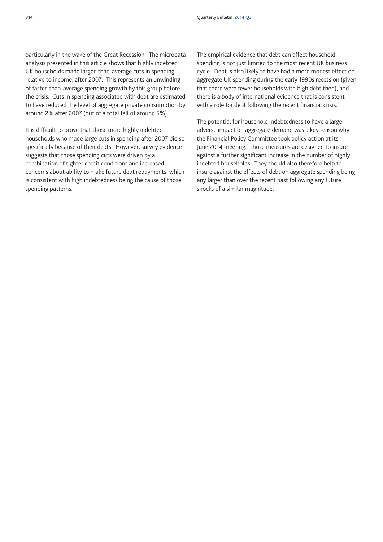particularly in the wake of the Great Recession. The microdata analysis presented in this article shows that highly indebted UK households made larger-than-average cuts in spending, relative to income, after 2007. This represents an unwinding of faster-than-average spending growth by this group before the crisis. Cuts in spending associated with debt are estimated to have reduced the level of aggregate private consumption by around 2% after 2007 (out of a total fall of around 5%).

It is difficult to prove that those more highly indebted households who made large cuts in spending after 2007 did so specifically because of their debts. However, survey evidence suggests that those spending cuts were driven by a combination of tighter credit conditions and increased concerns about ability to make future debt repayments, which is consistent with high indebtedness being the cause of those spending patterns.

The empirical evidence that debt can affect household spending is not just limited to the most recent UK business cycle. Debt is also likely to have had a more modest effect on aggregate UK spending during the early 1990s recession (given that there were fewer households with high debt then), and there is a body of international evidence that is consistent with a role for debt following the recent financial crisis.

The potential for household indebtedness to have a large adverse impact on aggregate demand was a key reason why the Financial Policy Committee took policy action at its June 2014 meeting. Those measures are designed to insure against a further significant increase in the number of highly indebted households. They should also therefore help to insure against the effects of debt on aggregate spending being any larger than over the recent past following any future shocks of a similar magnitude.